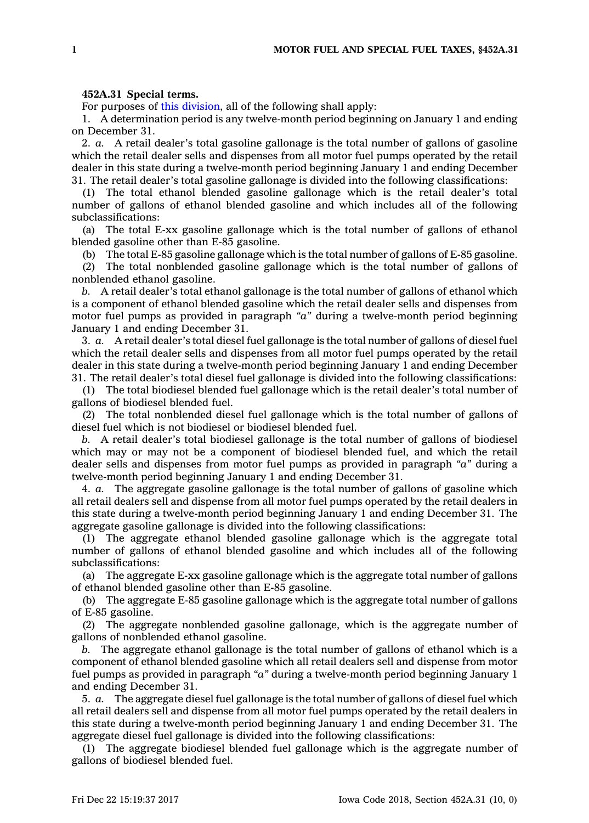## **452A.31 Special terms.**

For purposes of this [division](https://www.legis.iowa.gov/docs/code//452A.pdf), all of the following shall apply:

1. A determination period is any twelve-month period beginning on January 1 and ending on December 31.

2. *a.* A retail dealer's total gasoline gallonage is the total number of gallons of gasoline which the retail dealer sells and dispenses from all motor fuel pumps operated by the retail dealer in this state during <sup>a</sup> twelve-month period beginning January 1 and ending December 31. The retail dealer's total gasoline gallonage is divided into the following classifications:

(1) The total ethanol blended gasoline gallonage which is the retail dealer's total number of gallons of ethanol blended gasoline and which includes all of the following subclassifications:

(a) The total E-xx gasoline gallonage which is the total number of gallons of ethanol blended gasoline other than E-85 gasoline.

(b) The total E-85 gasoline gallonage which is the total number of gallons of E-85 gasoline.

(2) The total nonblended gasoline gallonage which is the total number of gallons of nonblended ethanol gasoline.

*b.* A retail dealer's total ethanol gallonage is the total number of gallons of ethanol which is <sup>a</sup> component of ethanol blended gasoline which the retail dealer sells and dispenses from motor fuel pumps as provided in paragraph *"a"* during <sup>a</sup> twelve-month period beginning January 1 and ending December 31.

3. *a.* A retail dealer's total diesel fuel gallonage is the total number of gallons of diesel fuel which the retail dealer sells and dispenses from all motor fuel pumps operated by the retail dealer in this state during <sup>a</sup> twelve-month period beginning January 1 and ending December 31. The retail dealer's total diesel fuel gallonage is divided into the following classifications:

(1) The total biodiesel blended fuel gallonage which is the retail dealer's total number of gallons of biodiesel blended fuel.

(2) The total nonblended diesel fuel gallonage which is the total number of gallons of diesel fuel which is not biodiesel or biodiesel blended fuel.

*b.* A retail dealer's total biodiesel gallonage is the total number of gallons of biodiesel which may or may not be <sup>a</sup> component of biodiesel blended fuel, and which the retail dealer sells and dispenses from motor fuel pumps as provided in paragraph *"a"* during <sup>a</sup> twelve-month period beginning January 1 and ending December 31.

4. *a.* The aggregate gasoline gallonage is the total number of gallons of gasoline which all retail dealers sell and dispense from all motor fuel pumps operated by the retail dealers in this state during <sup>a</sup> twelve-month period beginning January 1 and ending December 31. The aggregate gasoline gallonage is divided into the following classifications:

(1) The aggregate ethanol blended gasoline gallonage which is the aggregate total number of gallons of ethanol blended gasoline and which includes all of the following subclassifications:

(a) The aggregate E-xx gasoline gallonage which is the aggregate total number of gallons of ethanol blended gasoline other than E-85 gasoline.

(b) The aggregate E-85 gasoline gallonage which is the aggregate total number of gallons of E-85 gasoline.

(2) The aggregate nonblended gasoline gallonage, which is the aggregate number of gallons of nonblended ethanol gasoline.

*b.* The aggregate ethanol gallonage is the total number of gallons of ethanol which is <sup>a</sup> component of ethanol blended gasoline which all retail dealers sell and dispense from motor fuel pumps as provided in paragraph *"a"* during <sup>a</sup> twelve-month period beginning January 1 and ending December 31.

5. *a.* The aggregate diesel fuel gallonage is the total number of gallons of diesel fuel which all retail dealers sell and dispense from all motor fuel pumps operated by the retail dealers in this state during <sup>a</sup> twelve-month period beginning January 1 and ending December 31. The aggregate diesel fuel gallonage is divided into the following classifications:

(1) The aggregate biodiesel blended fuel gallonage which is the aggregate number of gallons of biodiesel blended fuel.